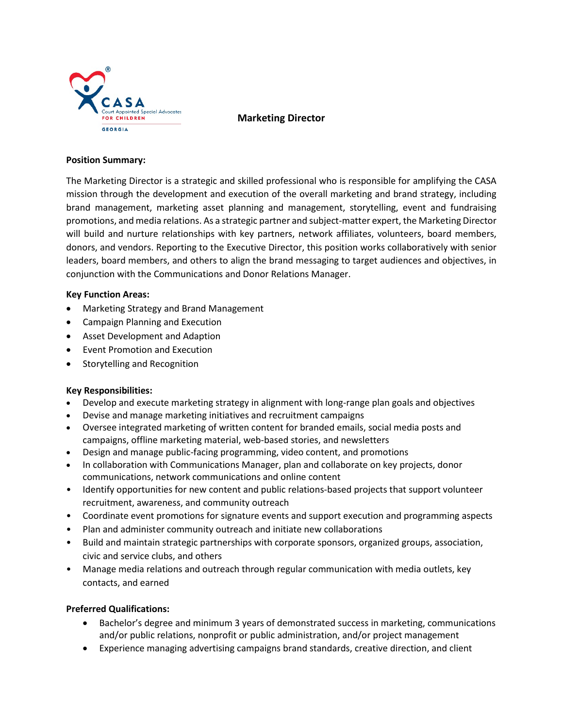

**Marketing Director**

#### **Position Summary:**

The Marketing Director is a strategic and skilled professional who is responsible for amplifying the CASA mission through the development and execution of the overall marketing and brand strategy, including brand management, marketing asset planning and management, storytelling, event and fundraising promotions, and media relations. As a strategic partner and subject-matter expert, the Marketing Director will build and nurture relationships with key partners, network affiliates, volunteers, board members, donors, and vendors. Reporting to the Executive Director, this position works collaboratively with senior leaders, board members, and others to align the brand messaging to target audiences and objectives, in conjunction with the Communications and Donor Relations Manager.

#### **Key Function Areas:**

- Marketing Strategy and Brand Management
- Campaign Planning and Execution
- Asset Development and Adaption
- Event Promotion and Execution
- Storytelling and Recognition

## **Key Responsibilities:**

- Develop and execute marketing strategy in alignment with long-range plan goals and objectives
- Devise and manage marketing initiatives and recruitment campaigns
- Oversee integrated marketing of written content for branded emails, social media posts and campaigns, offline marketing material, web-based stories, and newsletters
- Design and manage public-facing programming, video content, and promotions
- In collaboration with Communications Manager, plan and collaborate on key projects, donor communications, network communications and online content
- Identify opportunities for new content and public relations-based projects that support volunteer recruitment, awareness, and community outreach
- Coordinate event promotions for signature events and support execution and programming aspects
- Plan and administer community outreach and initiate new collaborations
- Build and maintain strategic partnerships with corporate sponsors, organized groups, association, civic and service clubs, and others
- Manage media relations and outreach through regular communication with media outlets, key contacts, and earned

## **Preferred Qualifications:**

- Bachelor's degree and minimum 3 years of demonstrated success in marketing, communications and/or public relations, nonprofit or public administration, and/or project management
- Experience managing advertising campaigns brand standards, creative direction, and client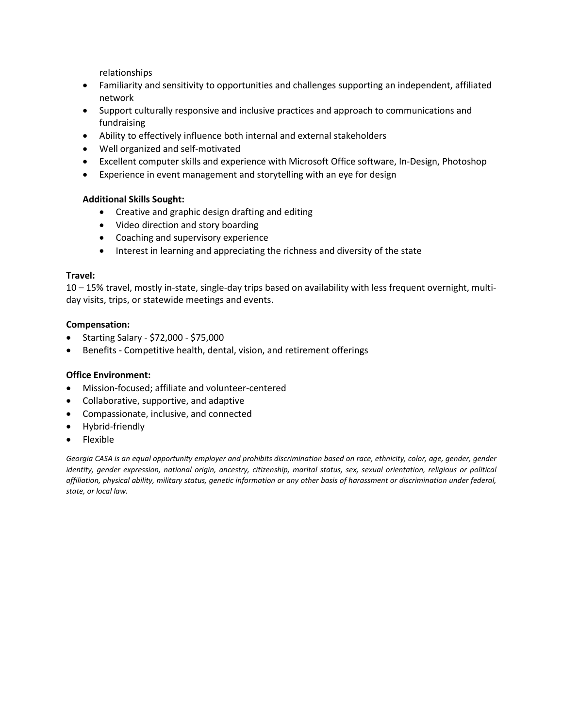relationships

- Familiarity and sensitivity to opportunities and challenges supporting an independent, affiliated network
- Support culturally responsive and inclusive practices and approach to communications and fundraising
- Ability to effectively influence both internal and external stakeholders
- Well organized and self-motivated
- Excellent computer skills and experience with Microsoft Office software, In-Design, Photoshop
- Experience in event management and storytelling with an eye for design

## **Additional Skills Sought:**

- Creative and graphic design drafting and editing
- Video direction and story boarding
- Coaching and supervisory experience
- Interest in learning and appreciating the richness and diversity of the state

#### **Travel:**

10 – 15% travel, mostly in-state, single-day trips based on availability with less frequent overnight, multiday visits, trips, or statewide meetings and events.

#### **Compensation:**

- Starting Salary \$72,000 \$75,000
- Benefits Competitive health, dental, vision, and retirement offerings

#### **Office Environment:**

- Mission-focused; affiliate and volunteer-centered
- Collaborative, supportive, and adaptive
- Compassionate, inclusive, and connected
- Hybrid-friendly
- Flexible

Georgia CASA is an equal opportunity employer and prohibits discrimination based on race, ethnicity, color, age, gender, gender *identity, gender expression, national origin, ancestry, citizenship, marital status, sex, sexual orientation, religious or political affiliation, physical ability, military status, genetic information or any other basis of harassment or discrimination under federal, state, or local law.*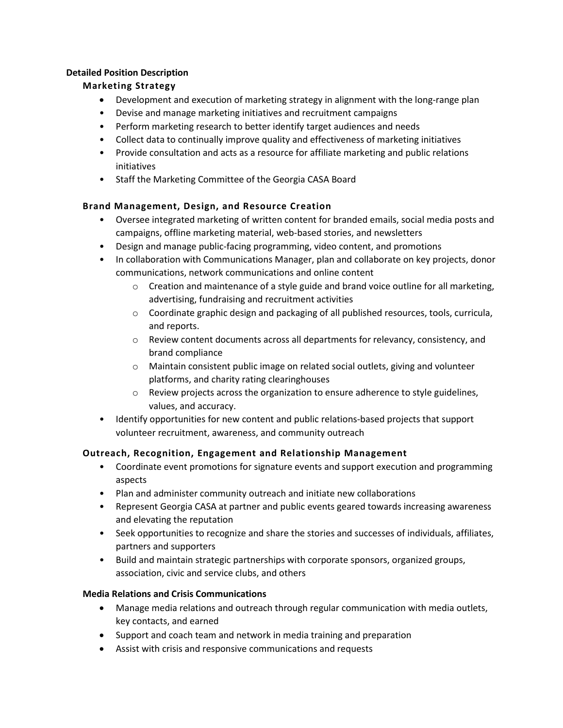# **Detailed Position Description**

# **Marketing Strategy**

- Development and execution of marketing strategy in alignment with the long-range plan
- Devise and manage marketing initiatives and recruitment campaigns
- Perform marketing research to better identify target audiences and needs
- Collect data to continually improve quality and effectiveness of marketing initiatives
- Provide consultation and acts as a resource for affiliate marketing and public relations initiatives
- Staff the Marketing Committee of the Georgia CASA Board

# **Brand Management, Design, and Resource Creation**

- Oversee integrated marketing of written content for branded emails, social media posts and campaigns, offline marketing material, web-based stories, and newsletters
- Design and manage public-facing programming, video content, and promotions
- In collaboration with Communications Manager, plan and collaborate on key projects, donor communications, network communications and online content
	- $\circ$  Creation and maintenance of a style guide and brand voice outline for all marketing, advertising, fundraising and recruitment activities
	- $\circ$  Coordinate graphic design and packaging of all published resources, tools, curricula, and reports.
	- $\circ$  Review content documents across all departments for relevancy, consistency, and brand compliance
	- $\circ$  Maintain consistent public image on related social outlets, giving and volunteer platforms, and charity rating clearinghouses
	- $\circ$  Review projects across the organization to ensure adherence to style guidelines, values, and accuracy.
- Identify opportunities for new content and public relations-based projects that support volunteer recruitment, awareness, and community outreach

# **Outreach, Recognition, Engagement and Relationship Management**

- Coordinate event promotions for signature events and support execution and programming aspects
- Plan and administer community outreach and initiate new collaborations
- Represent Georgia CASA at partner and public events geared towards increasing awareness and elevating the reputation
- Seek opportunities to recognize and share the stories and successes of individuals, affiliates, partners and supporters
- Build and maintain strategic partnerships with corporate sponsors, organized groups, association, civic and service clubs, and others

## **Media Relations and Crisis Communications**

- Manage media relations and outreach through regular communication with media outlets, key contacts, and earned
- Support and coach team and network in media training and preparation
- Assist with crisis and responsive communications and requests